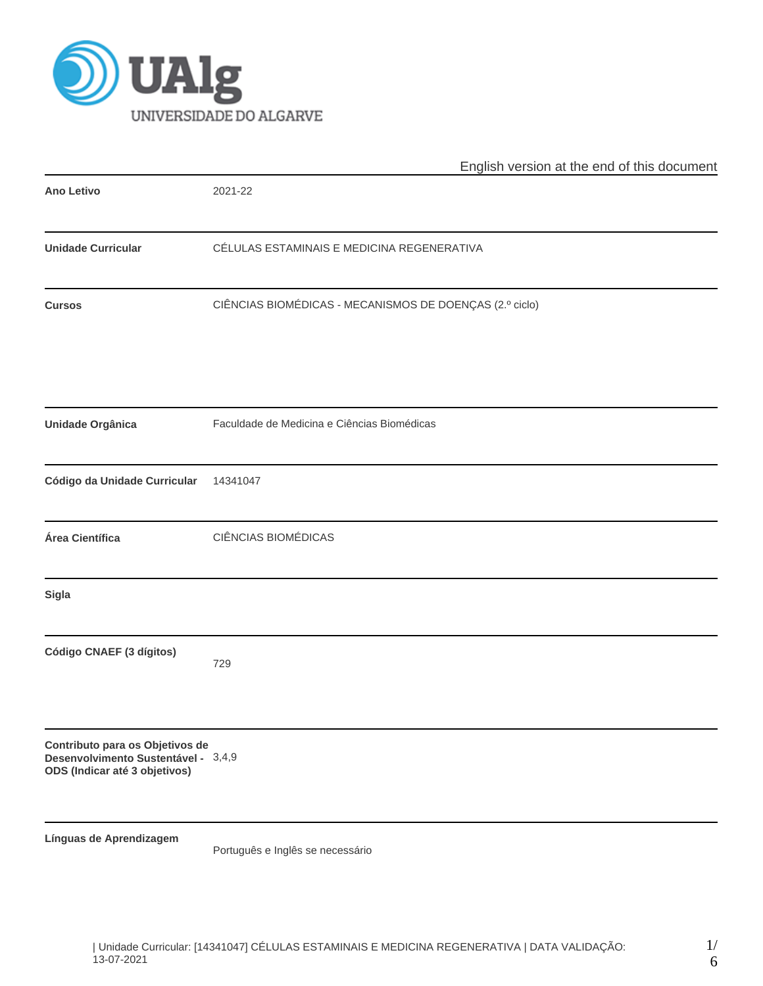

|                                                                                                         | English version at the end of this document             |
|---------------------------------------------------------------------------------------------------------|---------------------------------------------------------|
| <b>Ano Letivo</b>                                                                                       | 2021-22                                                 |
| <b>Unidade Curricular</b>                                                                               | CÉLULAS ESTAMINAIS E MEDICINA REGENERATIVA              |
| <b>Cursos</b>                                                                                           | CIÊNCIAS BIOMÉDICAS - MECANISMOS DE DOENÇAS (2.º ciclo) |
| Unidade Orgânica                                                                                        | Faculdade de Medicina e Ciências Biomédicas             |
| Código da Unidade Curricular                                                                            | 14341047                                                |
| Área Científica                                                                                         | CIÊNCIAS BIOMÉDICAS                                     |
| <b>Sigla</b>                                                                                            |                                                         |
| Código CNAEF (3 dígitos)                                                                                | 729                                                     |
| Contributo para os Objetivos de<br>Desenvolvimento Sustentável - 3,4,9<br>ODS (Indicar até 3 objetivos) |                                                         |
| Línguas de Aprendizagem                                                                                 | Português e Inglês se necessário                        |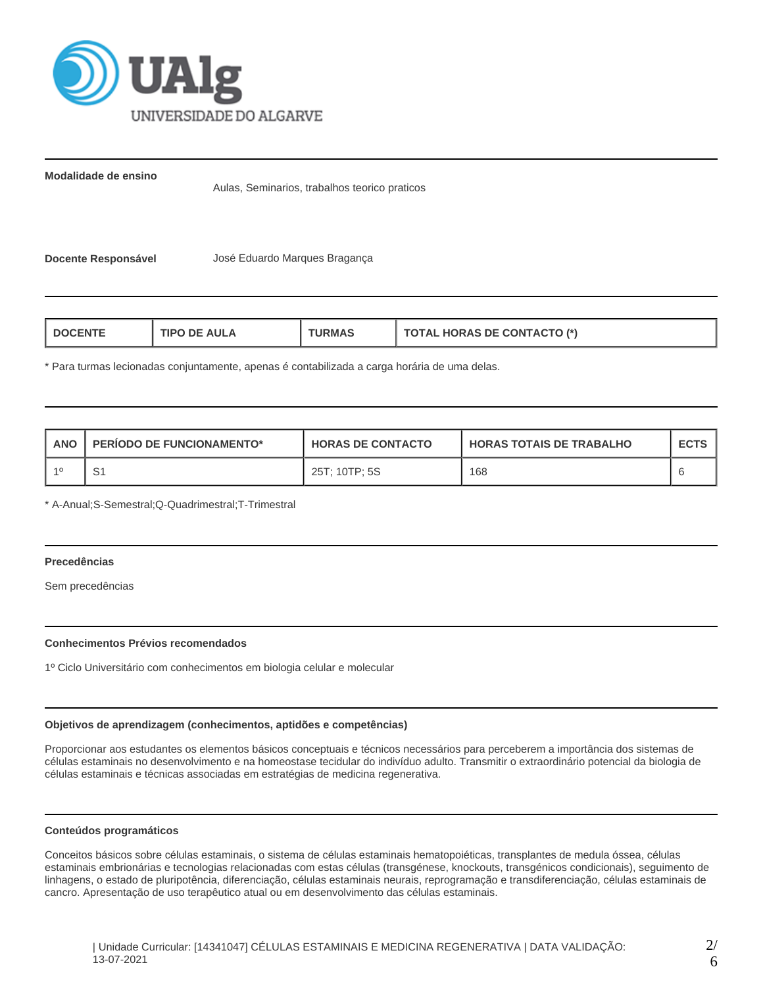

**Modalidade de ensino**

Aulas, Seminarios, trabalhos teorico praticos

**Docente Responsável** José Eduardo Marques Bragança

| <b>TIPO DE AULA</b><br><b>DOCENT</b> | ™URMAಎ | <b>TOTAL HORAS DE CONTACTO (*)</b> |
|--------------------------------------|--------|------------------------------------|
|--------------------------------------|--------|------------------------------------|

\* Para turmas lecionadas conjuntamente, apenas é contabilizada a carga horária de uma delas.

| <b>ANO</b> | <b>PERIODO DE FUNCIONAMENTO*</b> | <b>HORAS DE CONTACTO</b> | I HORAS TOTAIS DE TRABALHO | <b>ECTS</b> |
|------------|----------------------------------|--------------------------|----------------------------|-------------|
|            | S1                               | 25T; 10TP; 5S            | 168                        |             |

\* A-Anual;S-Semestral;Q-Quadrimestral;T-Trimestral

## **Precedências**

Sem precedências

## **Conhecimentos Prévios recomendados**

1º Ciclo Universitário com conhecimentos em biologia celular e molecular

## **Objetivos de aprendizagem (conhecimentos, aptidões e competências)**

Proporcionar aos estudantes os elementos básicos conceptuais e técnicos necessários para perceberem a importância dos sistemas de células estaminais no desenvolvimento e na homeostase tecidular do indivíduo adulto. Transmitir o extraordinário potencial da biologia de células estaminais e técnicas associadas em estratégias de medicina regenerativa.

#### **Conteúdos programáticos**

Conceitos básicos sobre células estaminais, o sistema de células estaminais hematopoiéticas, transplantes de medula óssea, células estaminais embrionárias e tecnologias relacionadas com estas células (transgénese, knockouts, transgénicos condicionais), seguimento de linhagens, o estado de pluripotência, diferenciação, células estaminais neurais, reprogramação e transdiferenciação, células estaminais de cancro. Apresentação de uso terapêutico atual ou em desenvolvimento das células estaminais.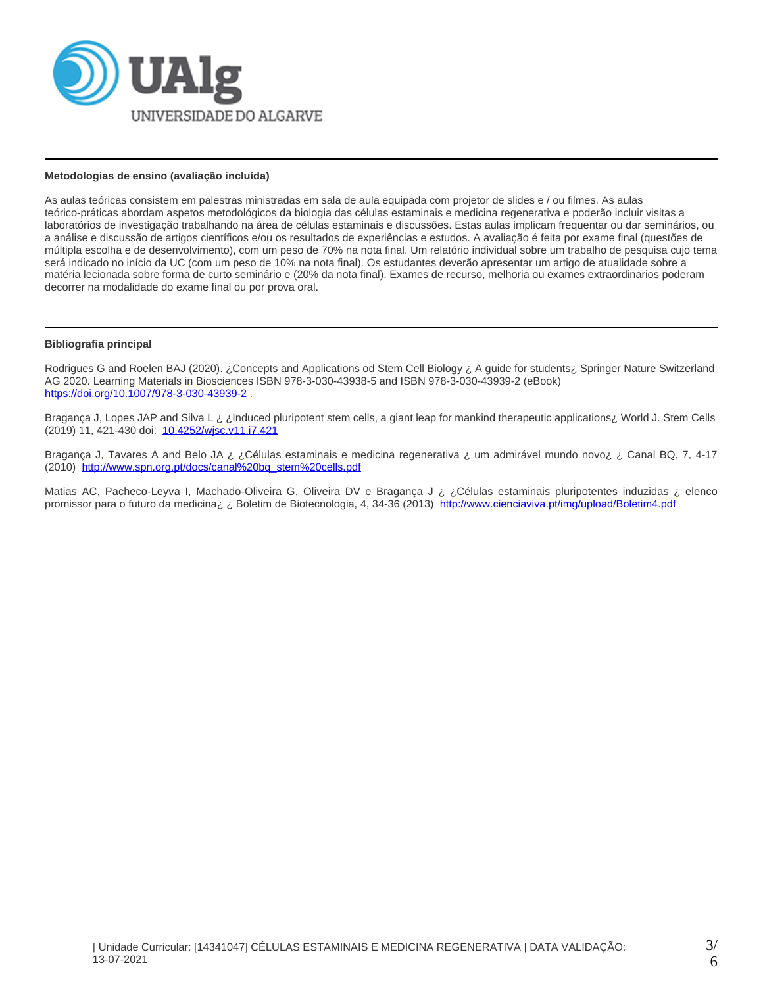

## **Metodologias de ensino (avaliação incluída)**

As aulas teóricas consistem em palestras ministradas em sala de aula equipada com projetor de slides e / ou filmes. As aulas teórico-práticas abordam aspetos metodológicos da biologia das células estaminais e medicina regenerativa e poderão incluir visitas a laboratórios de investigação trabalhando na área de células estaminais e discussões. Estas aulas implicam frequentar ou dar seminários, ou a análise e discussão de artigos científicos e/ou os resultados de experiências e estudos. A avaliação é feita por exame final (questões de múltipla escolha e de desenvolvimento), com um peso de 70% na nota final. Um relatório individual sobre um trabalho de pesquisa cujo tema será indicado no início da UC (com um peso de 10% na nota final). Os estudantes deverão apresentar um artigo de atualidade sobre a matéria lecionada sobre forma de curto seminário e (20% da nota final). Exames de recurso, melhoria ou exames extraordinarios poderam decorrer na modalidade do exame final ou por prova oral.

## **Bibliografia principal**

Rodrigues G and Roelen BAJ (2020). ¿Concepts and Applications od Stem Cell Biology ¿ A guide for students¿ Springer Nature Switzerland AG 2020. Learning Materials in Biosciences ISBN 978-3-030-43938-5 and ISBN 978-3-030-43939-2 (eBook) <https://doi.org/10.1007/978-3-030-43939-2> .

Bragança J, Lopes JAP and Silva L ¿ ¿Induced pluripotent stem cells, a giant leap for mankind therapeutic applications¿ World J. Stem Cells (2019) 11, 421-430 doi: [10.4252/wjsc.v11.i7.421](http://dx.doi.org/10.4252/wjsc.v11.i7.421)

Bragança J, Tavares A and Belo JA ¿ ¿Células estaminais e medicina regenerativa ¿ um admirável mundo novo¿ ¿ Canal BQ, 7, 4-17 (2010) [http://www.spn.org.pt/docs/canal%20bq\\_stem%20cells.pdf](http://www.spn.org.pt/docs/canal%20bq_stem%20cells.pdf)

Matias AC, Pacheco-Leyva I, Machado-Oliveira G, Oliveira DV e Bragança J ¿ ¿Células estaminais pluripotentes induzidas ¿ elenco promissor para o futuro da medicina¿ ¿ Boletim de Biotecnologia, 4, 34-36 (2013) <http://www.cienciaviva.pt/img/upload/Boletim4.pdf>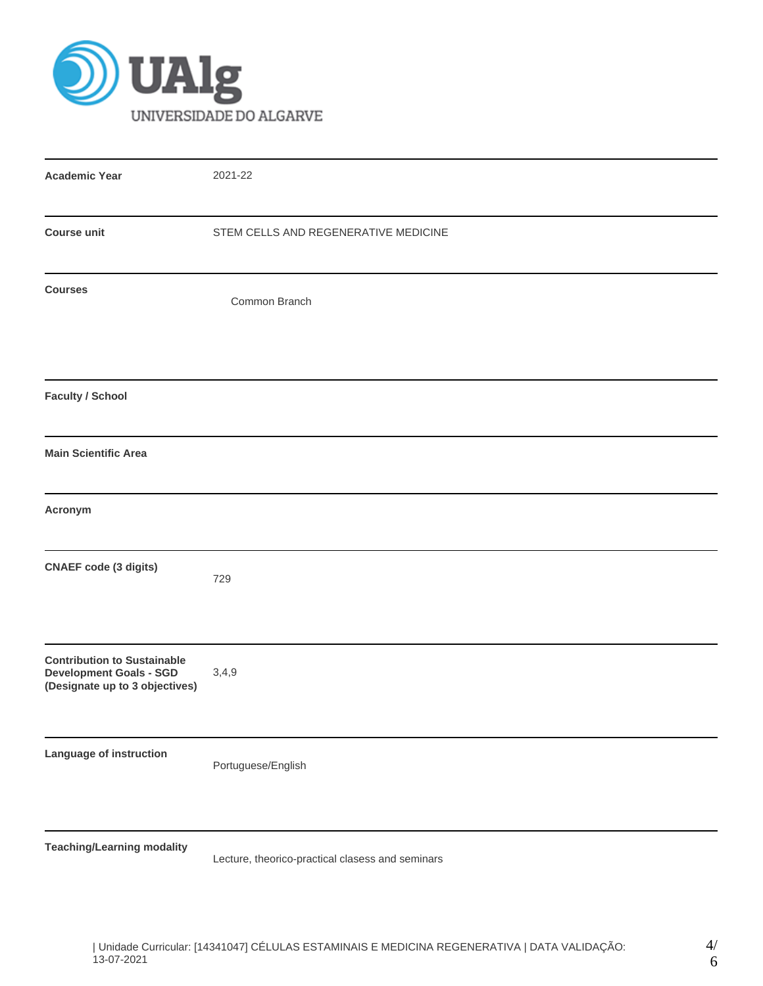

| <b>Academic Year</b>                                                                                   | 2021-22                                          |
|--------------------------------------------------------------------------------------------------------|--------------------------------------------------|
| <b>Course unit</b>                                                                                     | STEM CELLS AND REGENERATIVE MEDICINE             |
| <b>Courses</b>                                                                                         | Common Branch                                    |
| <b>Faculty / School</b>                                                                                |                                                  |
| <b>Main Scientific Area</b>                                                                            |                                                  |
| Acronym                                                                                                |                                                  |
| <b>CNAEF</b> code (3 digits)                                                                           | 729                                              |
| <b>Contribution to Sustainable</b><br><b>Development Goals - SGD</b><br>(Designate up to 3 objectives) | 3,4,9                                            |
| Language of instruction                                                                                | Portuguese/English                               |
| <b>Teaching/Learning modality</b>                                                                      | Lecture, theorico-practical clasess and seminars |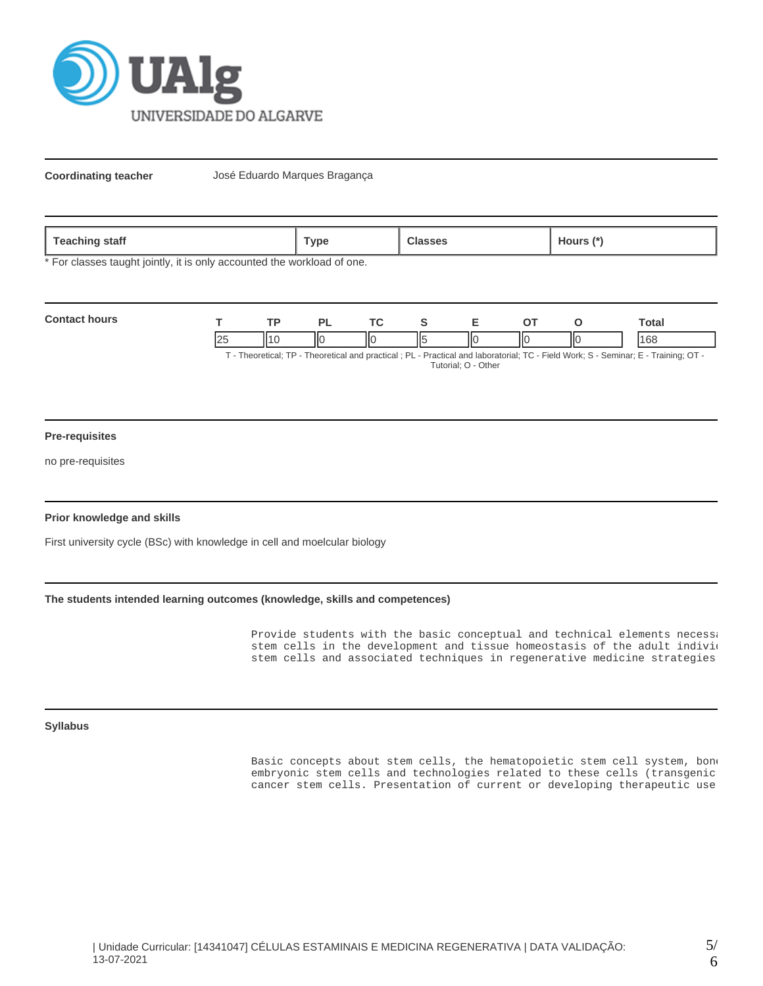

**Coordinating teacher** José Eduardo Marques Bragança

| `aack<br>staff<br>ື ເ≂αບ⊓⊞ <sub>ະວ</sub> | `vpe |  | <b>10Urs</b> |
|------------------------------------------|------|--|--------------|
|------------------------------------------|------|--|--------------|

\* For classes taught jointly, it is only accounted the workload of one.

| <b>Contact hours</b> |     | TD.             |    |  |    |     | `otal                                                                                                                        |
|----------------------|-----|-----------------|----|--|----|-----|------------------------------------------------------------------------------------------------------------------------------|
|                      | -∠≎ | $\mathsf{II1}'$ | IЮ |  | IЮ | IІC | 168                                                                                                                          |
|                      |     |                 |    |  |    |     | T. Theoretical: TD. Theoretical and prootical : DL. Drastical and laboratorial: TC. Eight Wark: C. Caminar: E. Training: OT. |

T - Theoretical; TP - Theoretical and practical ; PL - Practical and laboratorial; TC - Field Work; S - Seminar; E - Training; OT - Tutorial; O - Other

### **Pre-requisites**

no pre-requisites

## **Prior knowledge and skills**

First university cycle (BSc) with knowledge in cell and moelcular biology

# **The students intended learning outcomes (knowledge, skills and competences)**

Provide students with the basic conceptual and technical elements necessary stem cells in the development and tissue homeostasis of the adult individ stem cells and associated techniques in regenerative medicine strategies.

**Syllabus**

Basic concepts about stem cells, the hematopoietic stem cell system, bone embryonic stem cells and technologies related to these cells (transgenic cancer stem cells. Presentation of current or developing therapeutic use